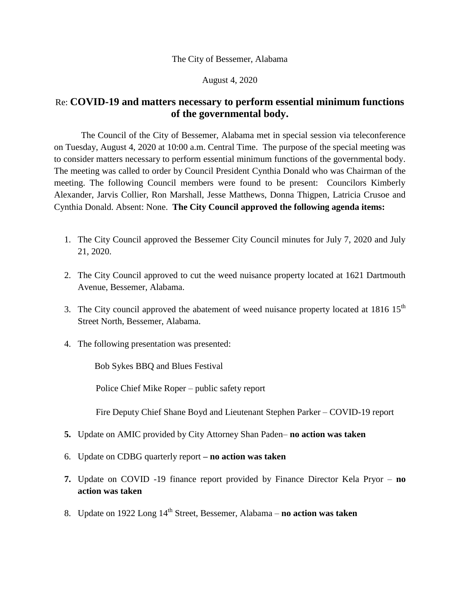## The City of Bessemer, Alabama

August 4, 2020

## Re: **COVID-19 and matters necessary to perform essential minimum functions of the governmental body.**

The Council of the City of Bessemer, Alabama met in special session via teleconference on Tuesday, August 4, 2020 at 10:00 a.m. Central Time. The purpose of the special meeting was to consider matters necessary to perform essential minimum functions of the governmental body. The meeting was called to order by Council President Cynthia Donald who was Chairman of the meeting. The following Council members were found to be present: Councilors Kimberly Alexander, Jarvis Collier, Ron Marshall, Jesse Matthews, Donna Thigpen, Latricia Crusoe and Cynthia Donald. Absent: None. **The City Council approved the following agenda items:**

- 1. The City Council approved the Bessemer City Council minutes for July 7, 2020 and July 21, 2020.
- 2. The City Council approved to cut the weed nuisance property located at 1621 Dartmouth Avenue, Bessemer, Alabama.
- 3. The City council approved the abatement of weed nuisance property located at  $1816 \, 15<sup>th</sup>$ Street North, Bessemer, Alabama.
- 4. The following presentation was presented:

Bob Sykes BBQ and Blues Festival

Police Chief Mike Roper – public safety report

Fire Deputy Chief Shane Boyd and Lieutenant Stephen Parker – COVID-19 report

- **5.** Update on AMIC provided by City Attorney Shan Paden– **no action was taken**
- 6. Update on CDBG quarterly report **– no action was taken**
- **7.** Update on COVID -19 finance report provided by Finance Director Kela Pryor **no action was taken**
- 8. Update on 1922 Long 14th Street, Bessemer, Alabama **no action was taken**